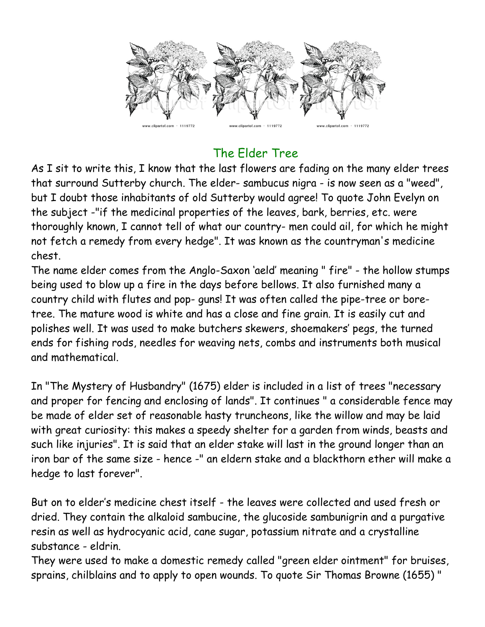

## The Elder Tree

As I sit to write this, I know that the last flowers are fading on the many elder trees that surround Sutterby church. The elder- sambucus nigra - is now seen as a "weed", but I doubt those inhabitants of old Sutterby would agree! To quote John Evelyn on the subject -"if the medicinal properties of the leaves, bark, berries, etc. were thoroughly known, I cannot tell of what our country- men could ail, for which he might not fetch a remedy from every hedge". It was known as the countryman's medicine chest.

The name elder comes from the Anglo-Saxon 'aeld' meaning " fire" - the hollow stumps being used to blow up a fire in the days before bellows. It also furnished many a country child with flutes and pop- guns! It was often called the pipe-tree or boretree. The mature wood is white and has a close and fine grain. It is easily cut and polishes well. It was used to make butchers skewers, shoemakers' pegs, the turned ends for fishing rods, needles for weaving nets, combs and instruments both musical and mathematical.

In "The Mystery of Husbandry" (1675) elder is included in a list of trees "necessary and proper for fencing and enclosing of lands". It continues " a considerable fence may be made of elder set of reasonable hasty truncheons, like the willow and may be laid with great curiosity: this makes a speedy shelter for a garden from winds, beasts and such like injuries". It is said that an elder stake will last in the ground longer than an iron bar of the same size - hence -" an eldern stake and a blackthorn ether will make a hedge to last forever".

But on to elder's medicine chest itself - the leaves were collected and used fresh or dried. They contain the alkaloid sambucine, the glucoside sambunigrin and a purgative resin as well as hydrocyanic acid, cane sugar, potassium nitrate and a crystalline substance - eldrin.

They were used to make a domestic remedy called "green elder ointment" for bruises, sprains, chilblains and to apply to open wounds. To quote Sir Thomas Browne (1655) "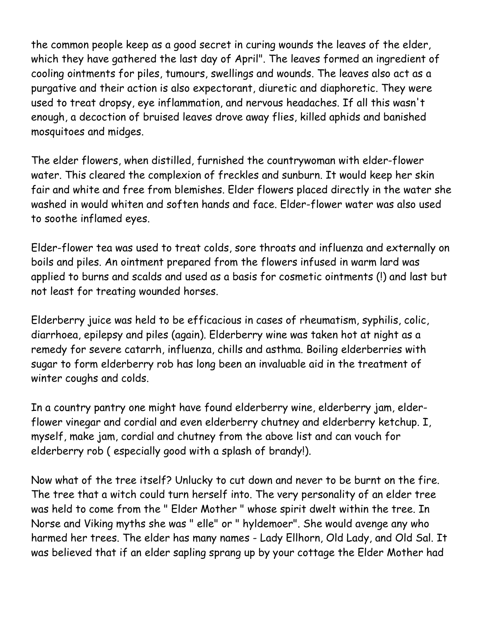the common people keep as a good secret in curing wounds the leaves of the elder, which they have gathered the last day of April". The leaves formed an ingredient of cooling ointments for piles, tumours, swellings and wounds. The leaves also act as a purgative and their action is also expectorant, diuretic and diaphoretic. They were used to treat dropsy, eye inflammation, and nervous headaches. If all this wasn't enough, a decoction of bruised leaves drove away flies, killed aphids and banished mosquitoes and midges.

The elder flowers, when distilled, furnished the countrywoman with elder-flower water. This cleared the complexion of freckles and sunburn. It would keep her skin fair and white and free from blemishes. Elder flowers placed directly in the water she washed in would whiten and soften hands and face. Elder-flower water was also used to soothe inflamed eyes.

Elder-flower tea was used to treat colds, sore throats and influenza and externally on boils and piles. An ointment prepared from the flowers infused in warm lard was applied to burns and scalds and used as a basis for cosmetic ointments (!) and last but not least for treating wounded horses.

Elderberry juice was held to be efficacious in cases of rheumatism, syphilis, colic, diarrhoea, epilepsy and piles (again). Elderberry wine was taken hot at night as a remedy for severe catarrh, influenza, chills and asthma. Boiling elderberries with sugar to form elderberry rob has long been an invaluable aid in the treatment of winter coughs and colds.

In a country pantry one might have found elderberry wine, elderberry jam, elderflower vinegar and cordial and even elderberry chutney and elderberry ketchup. I, myself, make jam, cordial and chutney from the above list and can vouch for elderberry rob ( especially good with a splash of brandy!).

Now what of the tree itself? Unlucky to cut down and never to be burnt on the fire. The tree that a witch could turn herself into. The very personality of an elder tree was held to come from the " Elder Mother " whose spirit dwelt within the tree. In Norse and Viking myths she was " elle" or " hyldemoer". She would avenge any who harmed her trees. The elder has many names - Lady Ellhorn, Old Lady, and Old Sal. It was believed that if an elder sapling sprang up by your cottage the Elder Mother had